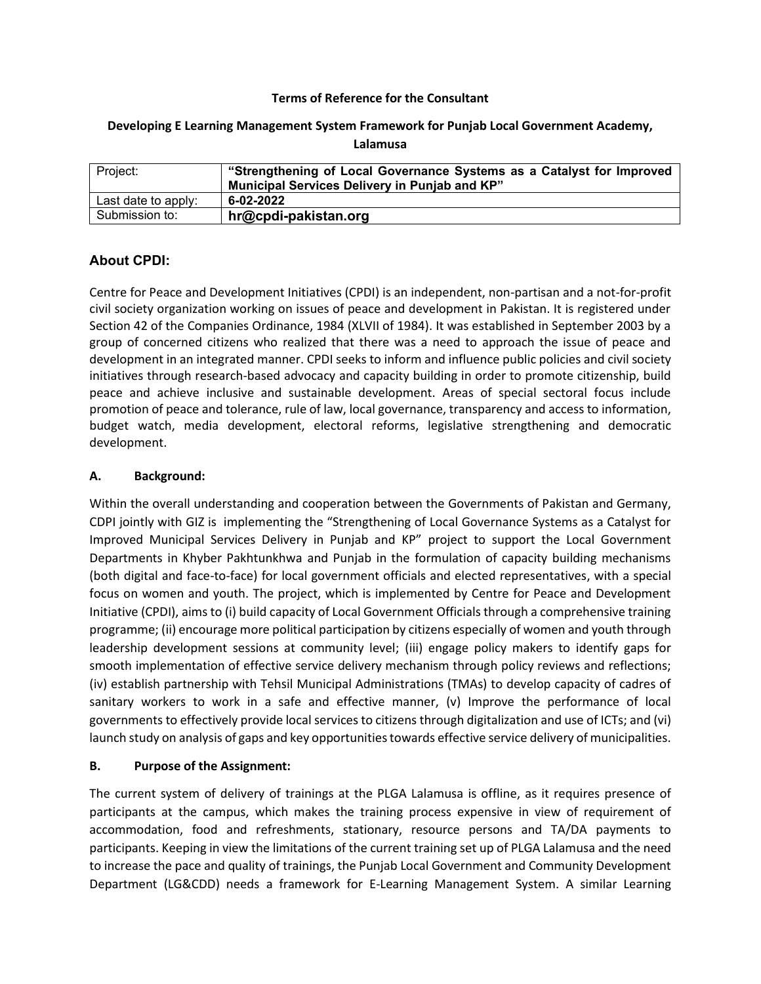### **Terms of Reference for the Consultant**

### **Developing E Learning Management System Framework for Punjab Local Government Academy, Lalamusa**

| Project:            | "Strengthening of Local Governance Systems as a Catalyst for Improved<br>Municipal Services Delivery in Punjab and KP" |
|---------------------|------------------------------------------------------------------------------------------------------------------------|
| Last date to apply: | 6-02-2022                                                                                                              |
| Submission to:      | hr@cpdi-pakistan.org                                                                                                   |

# **About CPDI:**

Centre for Peace and Development Initiatives (CPDI) is an independent, non-partisan and a not-for-profit civil society organization working on issues of peace and development in Pakistan. It is registered under Section 42 of the Companies Ordinance, 1984 (XLVII of 1984). It was established in September 2003 by a group of concerned citizens who realized that there was a need to approach the issue of peace and development in an integrated manner. CPDI seeks to inform and influence public policies and civil society initiatives through research-based advocacy and capacity building in order to promote citizenship, build peace and achieve inclusive and sustainable development. Areas of special sectoral focus include promotion of peace and tolerance, rule of law, local governance, transparency and access to information, budget watch, media development, electoral reforms, legislative strengthening and democratic development.

### **A. Background:**

Within the overall understanding and cooperation between the Governments of Pakistan and Germany, CDPI jointly with GIZ is implementing the "Strengthening of Local Governance Systems as a Catalyst for Improved Municipal Services Delivery in Punjab and KP" project to support the Local Government Departments in Khyber Pakhtunkhwa and Punjab in the formulation of capacity building mechanisms (both digital and face-to-face) for local government officials and elected representatives, with a special focus on women and youth. The project, which is implemented by Centre for Peace and Development Initiative (CPDI), aims to (i) build capacity of Local Government Officials through a comprehensive training programme; (ii) encourage more political participation by citizens especially of women and youth through leadership development sessions at community level; (iii) engage policy makers to identify gaps for smooth implementation of effective service delivery mechanism through policy reviews and reflections; (iv) establish partnership with Tehsil Municipal Administrations (TMAs) to develop capacity of cadres of sanitary workers to work in a safe and effective manner, (v) Improve the performance of local governments to effectively provide local services to citizens through digitalization and use of ICTs; and (vi) launch study on analysis of gaps and key opportunities towards effective service delivery of municipalities.

## **B. Purpose of the Assignment:**

The current system of delivery of trainings at the PLGA Lalamusa is offline, as it requires presence of participants at the campus, which makes the training process expensive in view of requirement of accommodation, food and refreshments, stationary, resource persons and TA/DA payments to participants. Keeping in view the limitations of the current training set up of PLGA Lalamusa and the need to increase the pace and quality of trainings, the Punjab Local Government and Community Development Department (LG&CDD) needs a framework for E-Learning Management System. A similar Learning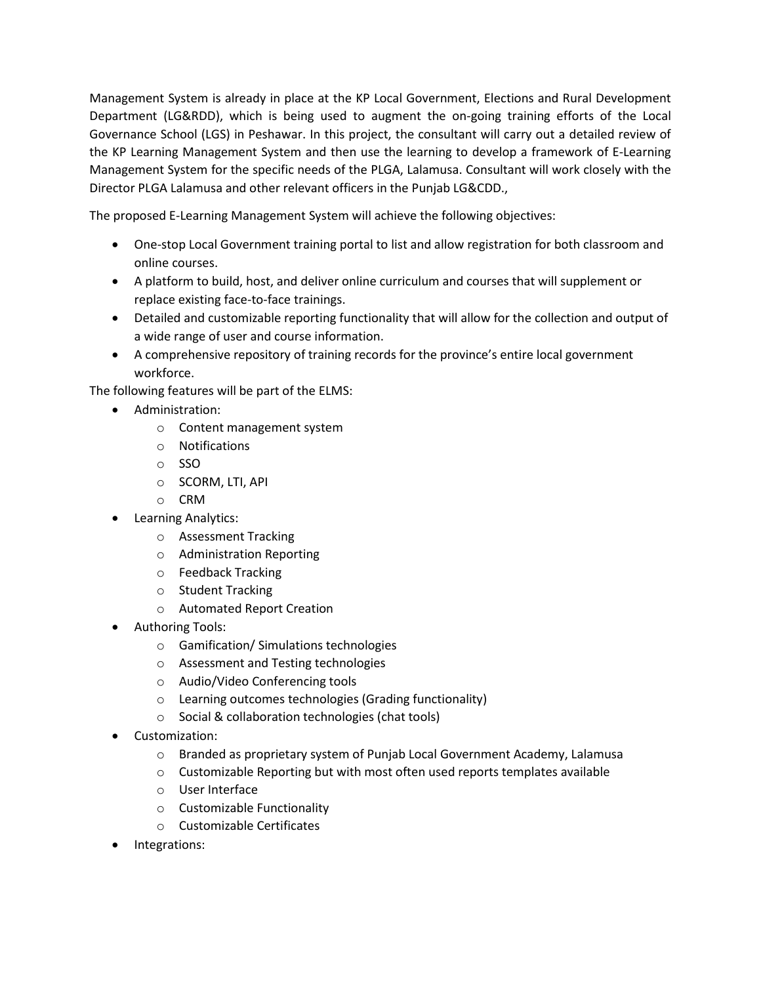Management System is already in place at the KP Local Government, Elections and Rural Development Department (LG&RDD), which is being used to augment the on-going training efforts of the Local Governance School (LGS) in Peshawar. In this project, the consultant will carry out a detailed review of the KP Learning Management System and then use the learning to develop a framework of E-Learning Management System for the specific needs of the PLGA, Lalamusa. Consultant will work closely with the Director PLGA Lalamusa and other relevant officers in the Punjab LG&CDD.,

The proposed E-Learning Management System will achieve the following objectives:

- One-stop Local Government training portal to list and allow registration for both classroom and online courses.
- A platform to build, host, and deliver online curriculum and courses that will supplement or replace existing face-to-face trainings.
- Detailed and customizable reporting functionality that will allow for the collection and output of a wide range of user and course information.
- A comprehensive repository of training records for the province's entire local government workforce.

The following features will be part of the ELMS:

- Administration:
	- o Content management system
	- o Notifications
	- o SSO
	- o SCORM, LTI, API
	- o CRM
- Learning Analytics:
	- o Assessment Tracking
	- o Administration Reporting
	- o Feedback Tracking
	- o Student Tracking
	- o Automated Report Creation
- Authoring Tools:
	- o Gamification/ Simulations technologies
	- o Assessment and Testing technologies
	- o Audio/Video Conferencing tools
	- o Learning outcomes technologies (Grading functionality)
	- o Social & collaboration technologies (chat tools)
- Customization:
	- o Branded as proprietary system of Punjab Local Government Academy, Lalamusa
	- o Customizable Reporting but with most often used reports templates available
	- o User Interface
	- o Customizable Functionality
	- o Customizable Certificates
- Integrations: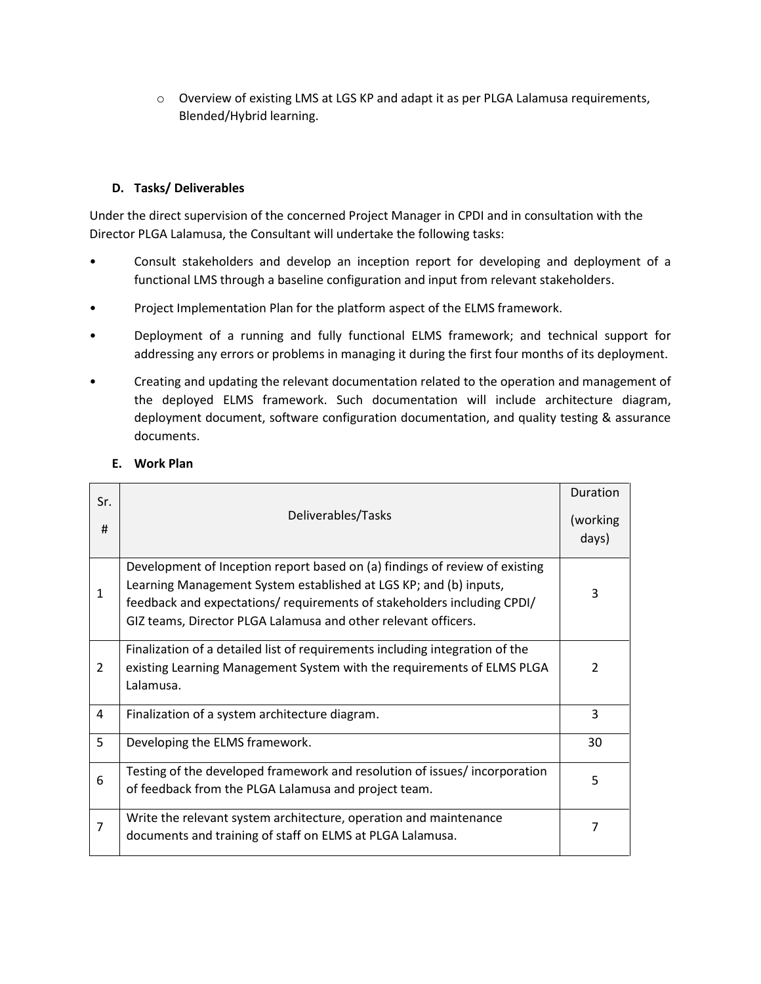o Overview of existing LMS at LGS KP and adapt it as per PLGA Lalamusa requirements, Blended/Hybrid learning.

# **D. Tasks/ Deliverables**

Under the direct supervision of the concerned Project Manager in CPDI and in consultation with the Director PLGA Lalamusa, the Consultant will undertake the following tasks:

- Consult stakeholders and develop an inception report for developing and deployment of a functional LMS through a baseline configuration and input from relevant stakeholders.
- Project Implementation Plan for the platform aspect of the ELMS framework.
- Deployment of a running and fully functional ELMS framework; and technical support for addressing any errors or problems in managing it during the first four months of its deployment.
- Creating and updating the relevant documentation related to the operation and management of the deployed ELMS framework. Such documentation will include architecture diagram, deployment document, software configuration documentation, and quality testing & assurance documents.

| Sr.<br>#       | Deliverables/Tasks                                                                                                                                                                                                                                                                            | Duration<br>(working<br>days) |
|----------------|-----------------------------------------------------------------------------------------------------------------------------------------------------------------------------------------------------------------------------------------------------------------------------------------------|-------------------------------|
| 1              | Development of Inception report based on (a) findings of review of existing<br>Learning Management System established at LGS KP; and (b) inputs,<br>feedback and expectations/ requirements of stakeholders including CPDI/<br>GIZ teams, Director PLGA Lalamusa and other relevant officers. | 3                             |
| 2              | Finalization of a detailed list of requirements including integration of the<br>existing Learning Management System with the requirements of ELMS PLGA<br>Lalamusa.                                                                                                                           | $\mathcal{P}$                 |
| 4              | Finalization of a system architecture diagram.                                                                                                                                                                                                                                                | 3                             |
| 5              | Developing the ELMS framework.                                                                                                                                                                                                                                                                | 30                            |
| 6              | Testing of the developed framework and resolution of issues/incorporation<br>of feedback from the PLGA Lalamusa and project team.                                                                                                                                                             | 5                             |
| $\overline{7}$ | Write the relevant system architecture, operation and maintenance<br>documents and training of staff on ELMS at PLGA Lalamusa.                                                                                                                                                                | 7                             |